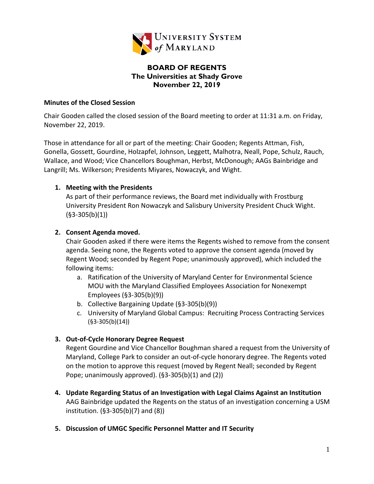

# **BOARD OF REGENTS The Universities at Shady Grove November 22, 2019**

#### **Minutes of the Closed Session**

Chair Gooden called the closed session of the Board meeting to order at 11:31 a.m. on Friday, November 22, 2019.

Those in attendance for all or part of the meeting: Chair Gooden; Regents Attman, Fish, Gonella, Gossett, Gourdine, Holzapfel, Johnson, Leggett, Malhotra, Neall, Pope, Schulz, Rauch, Wallace, and Wood; Vice Chancellors Boughman, Herbst, McDonough; AAGs Bainbridge and Langrill; Ms. Wilkerson; Presidents Miyares, Nowaczyk, and Wight.

## **1. Meeting with the Presidents**

As part of their performance reviews, the Board met individually with Frostburg University President Ron Nowaczyk and Salisbury University President Chuck Wight. (§3-305(b)(1))

## **2. Consent Agenda moved.**

Chair Gooden asked if there were items the Regents wished to remove from the consent agenda. Seeing none, the Regents voted to approve the consent agenda (moved by Regent Wood; seconded by Regent Pope; unanimously approved), which included the following items:

- a. Ratification of the University of Maryland Center for Environmental Science MOU with the Maryland Classified Employees Association for Nonexempt Employees (§3-305(b)(9))
- b. Collective Bargaining Update (§3-305(b)(9))
- c. University of Maryland Global Campus: Recruiting Process Contracting Services (§3-305(b)(14))

# **3. Out-of-Cycle Honorary Degree Request**

Regent Gourdine and Vice Chancellor Boughman shared a request from the University of Maryland, College Park to consider an out-of-cycle honorary degree. The Regents voted on the motion to approve this request (moved by Regent Neall; seconded by Regent Pope; unanimously approved). (§3-305(b)(1) and (2))

- **4. Update Regarding Status of an Investigation with Legal Claims Against an Institution** AAG Bainbridge updated the Regents on the status of an investigation concerning a USM institution. (§3-305(b)(7) and (8))
- **5. Discussion of UMGC Specific Personnel Matter and IT Security**